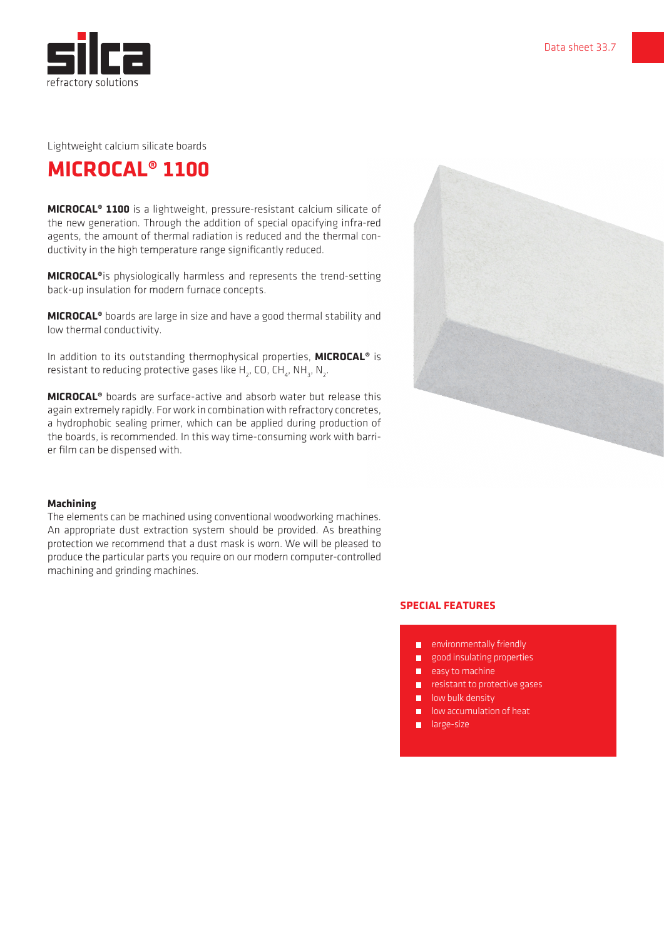

Lightweight calcium silicate boards

## **MICROCAL® 1100**

**MICROCAL® 1100** is a lightweight, pressure-resistant calcium silicate of the new generation. Through the addition of special opacifying infra-red agents, the amount of thermal radiation is reduced and the thermal conductivity in the high temperature range significantly reduced.

**MICROCAL®**is physiologically harmless and represents the trend-setting back-up insulation for modern furnace concepts.

**MICROCAL®** boards are large in size and have a good thermal stability and low thermal conductivity.

In addition to its outstanding thermophysical properties, **MICROCAL®** is resistant to reducing protective gases like H<sub>2</sub>, CO, CH<sub>4</sub>, NH<sub>3</sub>, N<sub>2</sub>.

**MICROCAL®** boards are surface-active and absorb water but release this again extremely rapidly. For work in combination with refractory concretes, a hydrophobic sealing primer, which can be applied during production of the boards, is recommended. In this way time-consuming work with barrier film can be dispensed with.

## **Machining**

The elements can be machined using conventional woodworking machines. An appropriate dust extraction system should be provided. As breathing protection we recommend that a dust mask is worn. We will be pleased to produce the particular parts you require on our modern computer-controlled machining and grinding machines.



## **SPECIAL FEATURES**

- **E** environmentally friendly
- **good insulating properties**
- $\blacksquare$  easy to machine
- resistant to protective gases
- $\blacksquare$  low bulk density **low** accumulation of heat
- **large-size**